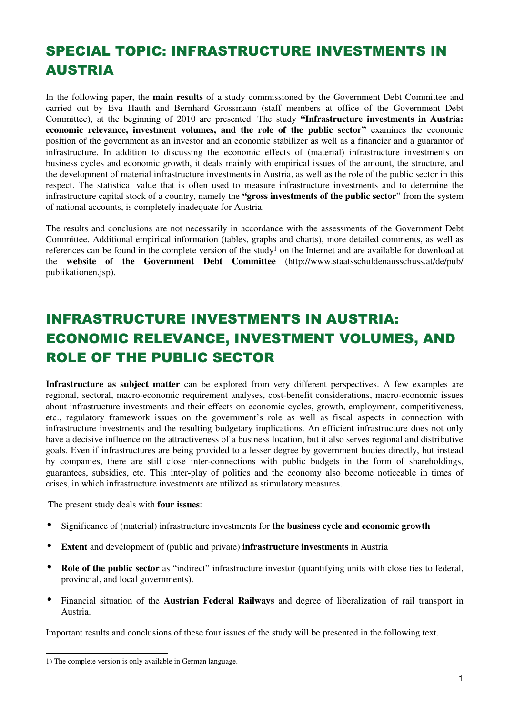# SPECIAL TOPIC: INFRASTRUCTURE INVESTMENTS IN AUSTRIA

In the following paper, the **main results** of a study commissioned by the Government Debt Committee and carried out by Eva Hauth and Bernhard Grossmann (staff members at office of the Government Debt Committee), at the beginning of 2010 are presented. The study **"Infrastructure investments in Austria: economic relevance, investment volumes, and the role of the public sector"** examines the economic position of the government as an investor and an economic stabilizer as well as a financier and a guarantor of infrastructure. In addition to discussing the economic effects of (material) infrastructure investments on business cycles and economic growth, it deals mainly with empirical issues of the amount, the structure, and the development of material infrastructure investments in Austria, as well as the role of the public sector in this respect. The statistical value that is often used to measure infrastructure investments and to determine the infrastructure capital stock of a country, namely the **"gross investments of the public sector**" from the system of national accounts, is completely inadequate for Austria.

The results and conclusions are not necessarily in accordance with the assessments of the Government Debt Committee. Additional empirical information (tables, graphs and charts), more detailed comments, as well as references can be found in the complete version of the study<sup>1</sup> on the Internet and are available for download at the **website of the Government Debt Committee** (http://www.staatsschuldenausschuss.at/de/pub/ publikationen.jsp).

## INFRASTRUCTURE INVESTMENTS IN AUSTRIA: ECONOMIC RELEVANCE, INVESTMENT VOLUMES, AND ROLE OF THE PUBLIC SECTOR

**Infrastructure as subject matter** can be explored from very different perspectives. A few examples are regional, sectoral, macro-economic requirement analyses, cost-benefit considerations, macro-economic issues about infrastructure investments and their effects on economic cycles, growth, employment, competitiveness, etc., regulatory framework issues on the government's role as well as fiscal aspects in connection with infrastructure investments and the resulting budgetary implications. An efficient infrastructure does not only have a decisive influence on the attractiveness of a business location, but it also serves regional and distributive goals. Even if infrastructures are being provided to a lesser degree by government bodies directly, but instead by companies, there are still close inter-connections with public budgets in the form of shareholdings, guarantees, subsidies, etc. This inter-play of politics and the economy also become noticeable in times of crises, in which infrastructure investments are utilized as stimulatory measures.

The present study deals with **four issues**:

- Significance of (material) infrastructure investments for **the business cycle and economic growth**
- **Extent** and development of (public and private) **infrastructure investments** in Austria
- **Role of the public sector** as "indirect" infrastructure investor (quantifying units with close ties to federal, provincial, and local governments).
- Financial situation of the **Austrian Federal Railways** and degree of liberalization of rail transport in Austria.

Important results and conclusions of these four issues of the study will be presented in the following text.

 $\overline{a}$ 

<sup>1)</sup> The complete version is only available in German language.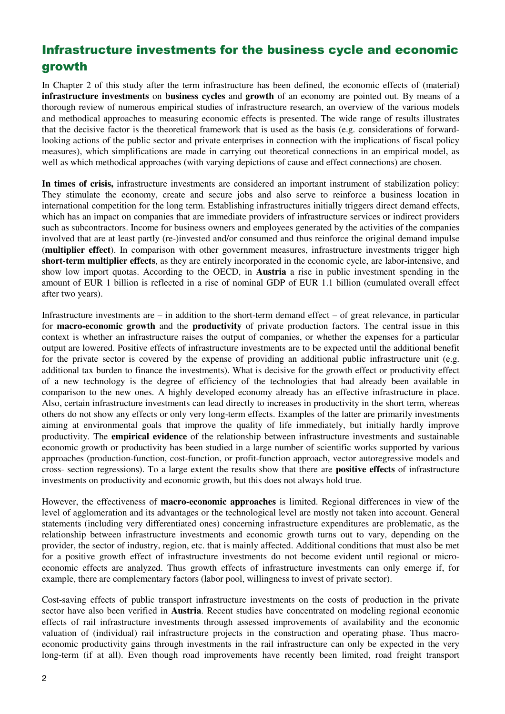## Infrastructure investments for the business cycle and economic growth

In Chapter 2 of this study after the term infrastructure has been defined, the economic effects of (material) **infrastructure investments** on **business cycles** and **growth** of an economy are pointed out. By means of a thorough review of numerous empirical studies of infrastructure research, an overview of the various models and methodical approaches to measuring economic effects is presented. The wide range of results illustrates that the decisive factor is the theoretical framework that is used as the basis (e.g. considerations of forwardlooking actions of the public sector and private enterprises in connection with the implications of fiscal policy measures), which simplifications are made in carrying out theoretical connections in an empirical model, as well as which methodical approaches (with varying depictions of cause and effect connections) are chosen.

**In times of crisis,** infrastructure investments are considered an important instrument of stabilization policy: They stimulate the economy, create and secure jobs and also serve to reinforce a business location in international competition for the long term. Establishing infrastructures initially triggers direct demand effects, which has an impact on companies that are immediate providers of infrastructure services or indirect providers such as subcontractors. Income for business owners and employees generated by the activities of the companies involved that are at least partly (re-)invested and/or consumed and thus reinforce the original demand impulse (**multiplier effect**). In comparison with other government measures, infrastructure investments trigger high **short-term multiplier effects**, as they are entirely incorporated in the economic cycle, are labor-intensive, and show low import quotas. According to the OECD, in **Austria** a rise in public investment spending in the amount of EUR 1 billion is reflected in a rise of nominal GDP of EUR 1.1 billion (cumulated overall effect after two years).

Infrastructure investments are – in addition to the short-term demand effect – of great relevance, in particular for **macro-economic growth** and the **productivity** of private production factors. The central issue in this context is whether an infrastructure raises the output of companies, or whether the expenses for a particular output are lowered. Positive effects of infrastructure investments are to be expected until the additional benefit for the private sector is covered by the expense of providing an additional public infrastructure unit (e.g. additional tax burden to finance the investments). What is decisive for the growth effect or productivity effect of a new technology is the degree of efficiency of the technologies that had already been available in comparison to the new ones. A highly developed economy already has an effective infrastructure in place. Also, certain infrastructure investments can lead directly to increases in productivity in the short term, whereas others do not show any effects or only very long-term effects. Examples of the latter are primarily investments aiming at environmental goals that improve the quality of life immediately, but initially hardly improve productivity. The **empirical evidence** of the relationship between infrastructure investments and sustainable economic growth or productivity has been studied in a large number of scientific works supported by various approaches (production-function, cost-function, or profit-function approach, vector autoregressive models and cross- section regressions). To a large extent the results show that there are **positive effects** of infrastructure investments on productivity and economic growth, but this does not always hold true.

However, the effectiveness of **macro-economic approaches** is limited. Regional differences in view of the level of agglomeration and its advantages or the technological level are mostly not taken into account. General statements (including very differentiated ones) concerning infrastructure expenditures are problematic, as the relationship between infrastructure investments and economic growth turns out to vary, depending on the provider, the sector of industry, region, etc. that is mainly affected. Additional conditions that must also be met for a positive growth effect of infrastructure investments do not become evident until regional or microeconomic effects are analyzed. Thus growth effects of infrastructure investments can only emerge if, for example, there are complementary factors (labor pool, willingness to invest of private sector).

Cost-saving effects of public transport infrastructure investments on the costs of production in the private sector have also been verified in **Austria**. Recent studies have concentrated on modeling regional economic effects of rail infrastructure investments through assessed improvements of availability and the economic valuation of (individual) rail infrastructure projects in the construction and operating phase. Thus macroeconomic productivity gains through investments in the rail infrastructure can only be expected in the very long-term (if at all). Even though road improvements have recently been limited, road freight transport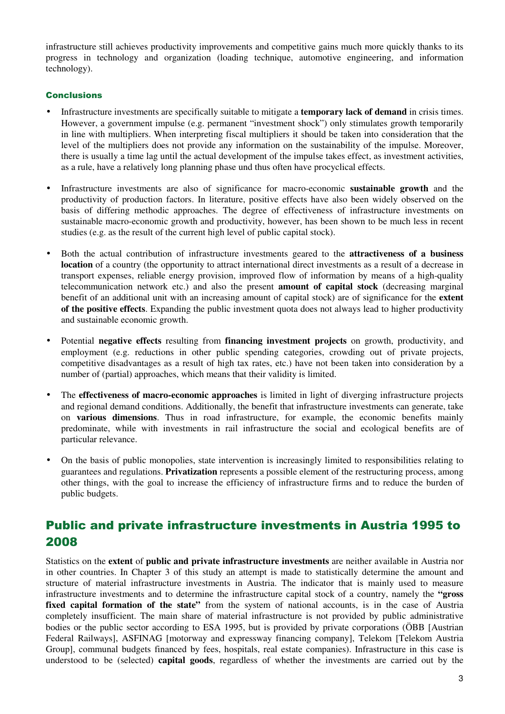infrastructure still achieves productivity improvements and competitive gains much more quickly thanks to its progress in technology and organization (loading technique, automotive engineering, and information technology).

### Conclusions

- Infrastructure investments are specifically suitable to mitigate a **temporary lack of demand** in crisis times. However, a government impulse (e.g. permanent "investment shock") only stimulates growth temporarily in line with multipliers. When interpreting fiscal multipliers it should be taken into consideration that the level of the multipliers does not provide any information on the sustainability of the impulse. Moreover, there is usually a time lag until the actual development of the impulse takes effect, as investment activities, as a rule, have a relatively long planning phase und thus often have procyclical effects.
- Infrastructure investments are also of significance for macro-economic **sustainable growth** and the productivity of production factors. In literature, positive effects have also been widely observed on the basis of differing methodic approaches. The degree of effectiveness of infrastructure investments on sustainable macro-economic growth and productivity, however, has been shown to be much less in recent studies (e.g. as the result of the current high level of public capital stock).
- Both the actual contribution of infrastructure investments geared to the **attractiveness of a business location** of a country (the opportunity to attract international direct investments as a result of a decrease in transport expenses, reliable energy provision, improved flow of information by means of a high-quality telecommunication network etc.) and also the present **amount of capital stock** (decreasing marginal benefit of an additional unit with an increasing amount of capital stock) are of significance for the **extent of the positive effects**. Expanding the public investment quota does not always lead to higher productivity and sustainable economic growth.
- Potential **negative effects** resulting from **financing investment projects** on growth, productivity, and employment (e.g. reductions in other public spending categories, crowding out of private projects, competitive disadvantages as a result of high tax rates, etc.) have not been taken into consideration by a number of (partial) approaches, which means that their validity is limited.
- The **effectiveness of macro-economic approaches** is limited in light of diverging infrastructure projects and regional demand conditions. Additionally, the benefit that infrastructure investments can generate, take on **various dimensions**. Thus in road infrastructure, for example, the economic benefits mainly predominate, while with investments in rail infrastructure the social and ecological benefits are of particular relevance.
- On the basis of public monopolies, state intervention is increasingly limited to responsibilities relating to guarantees and regulations. **Privatization** represents a possible element of the restructuring process, among other things, with the goal to increase the efficiency of infrastructure firms and to reduce the burden of public budgets.

### Public and private infrastructure investments in Austria 1995 to 2008

Statistics on the **extent** of **public and private infrastructure investments** are neither available in Austria nor in other countries. In Chapter 3 of this study an attempt is made to statistically determine the amount and structure of material infrastructure investments in Austria. The indicator that is mainly used to measure infrastructure investments and to determine the infrastructure capital stock of a country, namely the **"gross**  fixed capital formation of the state" from the system of national accounts, is in the case of Austria completely insufficient. The main share of material infrastructure is not provided by public administrative bodies or the public sector according to ESA 1995, but is provided by private corporations (ÖBB [Austrian Federal Railways], ASFINAG [motorway and expressway financing company], Telekom [Telekom Austria Group], communal budgets financed by fees, hospitals, real estate companies). Infrastructure in this case is understood to be (selected) **capital goods**, regardless of whether the investments are carried out by the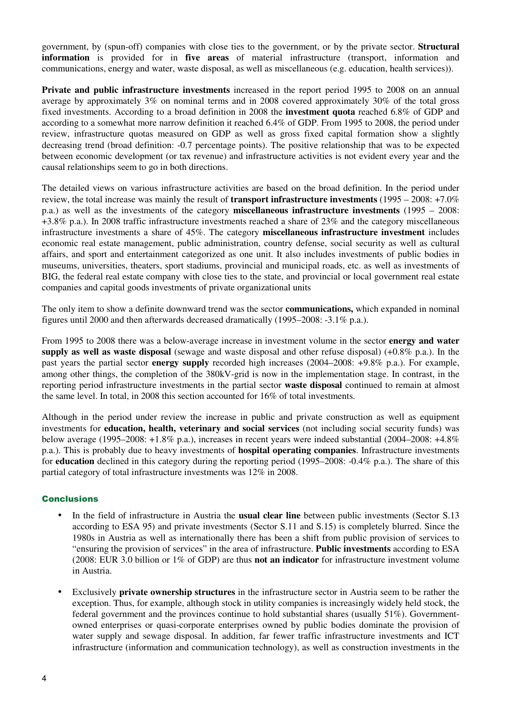government, by (spun-off) companies with close ties to the government, or by the private sector. **Structural information** is provided for in **five areas** of material infrastructure (transport, information and communications, energy and water, waste disposal, as well as miscellaneous (e.g. education, health services)).

**Private and public infrastructure investments** increased in the report period 1995 to 2008 on an annual average by approximately 3% on nominal terms and in 2008 covered approximately 30% of the total gross fixed investments. According to a broad definition in 2008 the **investment quota** reached 6.8% of GDP and according to a somewhat more narrow definition it reached 6.4% of GDP. From 1995 to 2008, the period under review, infrastructure quotas measured on GDP as well as gross fixed capital formation show a slightly decreasing trend (broad definition: -0.7 percentage points). The positive relationship that was to be expected between economic development (or tax revenue) and infrastructure activities is not evident every year and the causal relationships seem to go in both directions.

The detailed views on various infrastructure activities are based on the broad definition. In the period under review, the total increase was mainly the result of **transport infrastructure investments** (1995 – 2008: +7.0% p.a.) as well as the investments of the category **miscellaneous infrastructure investments** (1995 – 2008: +3.8% p.a.). In 2008 traffic infrastructure investments reached a share of 23% and the category miscellaneous infrastructure investments a share of 45%. The category **miscellaneous infrastructure investment** includes economic real estate management, public administration, country defense, social security as well as cultural affairs, and sport and entertainment categorized as one unit. It also includes investments of public bodies in museums, universities, theaters, sport stadiums, provincial and municipal roads, etc. as well as investments of BIG, the federal real estate company with close ties to the state, and provincial or local government real estate companies and capital goods investments of private organizational units

The only item to show a definite downward trend was the sector **communications,** which expanded in nominal figures until 2000 and then afterwards decreased dramatically (1995–2008: -3.1% p.a.).

From 1995 to 2008 there was a below-average increase in investment volume in the sector **energy and water supply as well as waste disposal** (sewage and waste disposal and other refuse disposal) (+0.8% p.a.). In the past years the partial sector **energy supply** recorded high increases (2004–2008: +9.8% p.a.). For example, among other things, the completion of the 380kV-grid is now in the implementation stage. In contrast, in the reporting period infrastructure investments in the partial sector **waste disposal** continued to remain at almost the same level. In total, in 2008 this section accounted for 16% of total investments.

Although in the period under review the increase in public and private construction as well as equipment investments for **education, health, veterinary and social services** (not including social security funds) was below average (1995–2008: +1.8% p.a.), increases in recent years were indeed substantial (2004–2008: +4.8% p.a.). This is probably due to heavy investments of **hospital operating companies**. Infrastructure investments for **education** declined in this category during the reporting period (1995–2008: -0.4% p.a.). The share of this partial category of total infrastructure investments was 12% in 2008.

#### **Conclusions**

- In the field of infrastructure in Austria the **usual clear line** between public investments (Sector S.13 according to ESA 95) and private investments (Sector S.11 and S.15) is completely blurred. Since the 1980s in Austria as well as internationally there has been a shift from public provision of services to "ensuring the provision of services" in the area of infrastructure. **Public investments** according to ESA (2008: EUR 3.0 billion or 1% of GDP) are thus **not an indicator** for infrastructure investment volume in Austria.
- Exclusively **private ownership structures** in the infrastructure sector in Austria seem to be rather the exception. Thus, for example, although stock in utility companies is increasingly widely held stock, the federal government and the provinces continue to hold substantial shares (usually 51%). Governmentowned enterprises or quasi-corporate enterprises owned by public bodies dominate the provision of water supply and sewage disposal. In addition, far fewer traffic infrastructure investments and ICT infrastructure (information and communication technology), as well as construction investments in the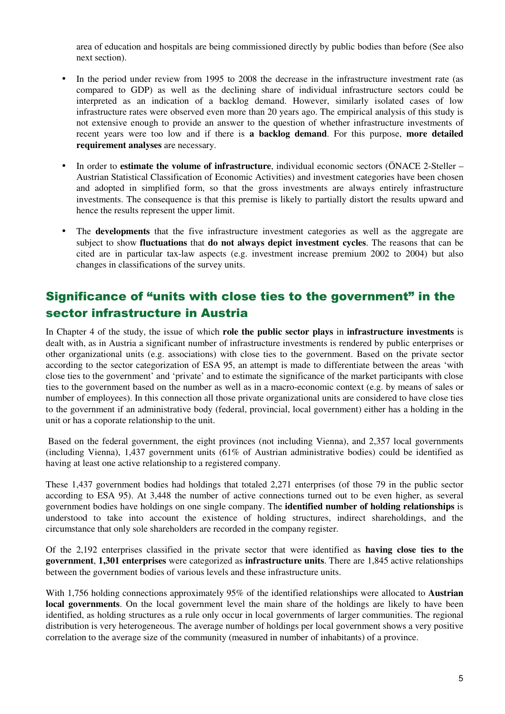area of education and hospitals are being commissioned directly by public bodies than before (See also next section).

- In the period under review from 1995 to 2008 the decrease in the infrastructure investment rate (as compared to GDP) as well as the declining share of individual infrastructure sectors could be interpreted as an indication of a backlog demand. However, similarly isolated cases of low infrastructure rates were observed even more than 20 years ago. The empirical analysis of this study is not extensive enough to provide an answer to the question of whether infrastructure investments of recent years were too low and if there is **a backlog demand**. For this purpose, **more detailed requirement analyses** are necessary.
- In order to **estimate the volume of infrastructure**, individual economic sectors (ÖNACE 2-Steller Austrian Statistical Classification of Economic Activities) and investment categories have been chosen and adopted in simplified form, so that the gross investments are always entirely infrastructure investments. The consequence is that this premise is likely to partially distort the results upward and hence the results represent the upper limit.
- The **developments** that the five infrastructure investment categories as well as the aggregate are subject to show **fluctuations** that **do not always depict investment cycles**. The reasons that can be cited are in particular tax-law aspects (e.g. investment increase premium 2002 to 2004) but also changes in classifications of the survey units.

## Significance of "units with close ties to the government" in the sector infrastructure in Austria

In Chapter 4 of the study, the issue of which **role the public sector plays** in **infrastructure investments** is dealt with, as in Austria a significant number of infrastructure investments is rendered by public enterprises or other organizational units (e.g. associations) with close ties to the government. Based on the private sector according to the sector categorization of ESA 95, an attempt is made to differentiate between the areas 'with close ties to the government' and 'private' and to estimate the significance of the market participants with close ties to the government based on the number as well as in a macro-economic context (e.g. by means of sales or number of employees). In this connection all those private organizational units are considered to have close ties to the government if an administrative body (federal, provincial, local government) either has a holding in the unit or has a coporate relationship to the unit.

 Based on the federal government, the eight provinces (not including Vienna), and 2,357 local governments (including Vienna), 1,437 government units (61% of Austrian administrative bodies) could be identified as having at least one active relationship to a registered company.

These 1,437 government bodies had holdings that totaled 2,271 enterprises (of those 79 in the public sector according to ESA 95). At 3,448 the number of active connections turned out to be even higher, as several government bodies have holdings on one single company. The **identified number of holding relationships** is understood to take into account the existence of holding structures, indirect shareholdings, and the circumstance that only sole shareholders are recorded in the company register.

Of the 2,192 enterprises classified in the private sector that were identified as **having close ties to the government**, **1,301 enterprises** were categorized as **infrastructure units**. There are 1,845 active relationships between the government bodies of various levels and these infrastructure units.

With 1,756 holding connections approximately 95% of the identified relationships were allocated to **Austrian local governments**. On the local government level the main share of the holdings are likely to have been identified, as holding structures as a rule only occur in local governments of larger communities. The regional distribution is very heterogeneous. The average number of holdings per local government shows a very positive correlation to the average size of the community (measured in number of inhabitants) of a province.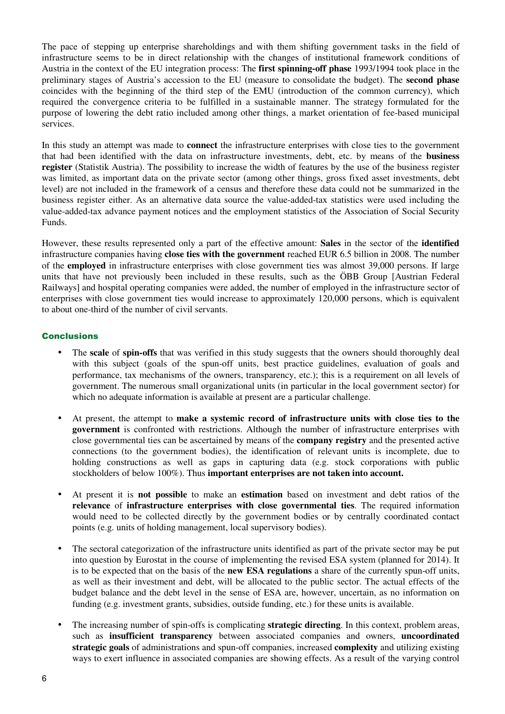The pace of stepping up enterprise shareholdings and with them shifting government tasks in the field of infrastructure seems to be in direct relationship with the changes of institutional framework conditions of Austria in the context of the EU integration process: The **first spinning-off phase** 1993/1994 took place in the preliminary stages of Austria's accession to the EU (measure to consolidate the budget). The **second phase** coincides with the beginning of the third step of the EMU (introduction of the common currency), which required the convergence criteria to be fulfilled in a sustainable manner. The strategy formulated for the purpose of lowering the debt ratio included among other things, a market orientation of fee-based municipal services.

In this study an attempt was made to **connect** the infrastructure enterprises with close ties to the government that had been identified with the data on infrastructure investments, debt, etc. by means of the **business register** (Statistik Austria). The possibility to increase the width of features by the use of the business register was limited, as important data on the private sector (among other things, gross fixed asset investments, debt level) are not included in the framework of a census and therefore these data could not be summarized in the business register either. As an alternative data source the value-added-tax statistics were used including the value-added-tax advance payment notices and the employment statistics of the Association of Social Security Funds.

However, these results represented only a part of the effective amount: **Sales** in the sector of the **identified**  infrastructure companies having **close ties with the government** reached EUR 6.5 billion in 2008. The number of the **employed** in infrastructure enterprises with close government ties was almost 39,000 persons. If large units that have not previously been included in these results, such as the ÖBB Group [Austrian Federal Railways] and hospital operating companies were added, the number of employed in the infrastructure sector of enterprises with close government ties would increase to approximately 120,000 persons, which is equivalent to about one-third of the number of civil servants.

#### **Conclusions**

- The **scale** of **spin-offs** that was verified in this study suggests that the owners should thoroughly deal with this subject (goals of the spun-off units, best practice guidelines, evaluation of goals and performance, tax mechanisms of the owners, transparency, etc.); this is a requirement on all levels of government. The numerous small organizational units (in particular in the local government sector) for which no adequate information is available at present are a particular challenge.
- At present, the attempt to **make a systemic record of infrastructure units with close ties to the government** is confronted with restrictions. Although the number of infrastructure enterprises with close governmental ties can be ascertained by means of the **company registry** and the presented active connections (to the government bodies), the identification of relevant units is incomplete, due to holding constructions as well as gaps in capturing data (e.g. stock corporations with public stockholders of below 100%). Thus **important enterprises are not taken into account.**
- At present it is **not possible** to make an **estimation** based on investment and debt ratios of the **relevance** of **infrastructure enterprises with close governmental ties**. The required information would need to be collected directly by the government bodies or by centrally coordinated contact points (e.g. units of holding management, local supervisory bodies).
- The sectoral categorization of the infrastructure units identified as part of the private sector may be put into question by Eurostat in the course of implementing the revised ESA system (planned for 2014). It is to be expected that on the basis of the **new ESA regulations** a share of the currently spun-off units, as well as their investment and debt, will be allocated to the public sector. The actual effects of the budget balance and the debt level in the sense of ESA are, however, uncertain, as no information on funding (e.g. investment grants, subsidies, outside funding, etc.) for these units is available.
- The increasing number of spin-offs is complicating **strategic directing**. In this context, problem areas, such as **insufficient transparency** between associated companies and owners, **uncoordinated strategic goals** of administrations and spun-off companies, increased **complexity** and utilizing existing ways to exert influence in associated companies are showing effects. As a result of the varying control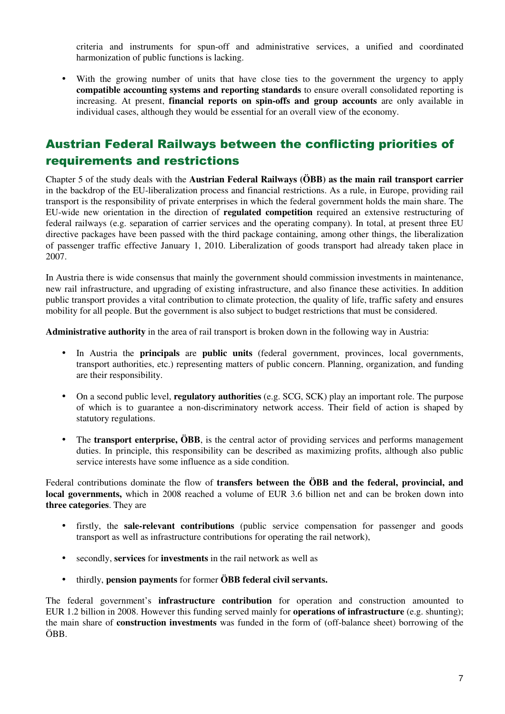criteria and instruments for spun-off and administrative services, a unified and coordinated harmonization of public functions is lacking.

With the growing number of units that have close ties to the government the urgency to apply **compatible accounting systems and reporting standards** to ensure overall consolidated reporting is increasing. At present, **financial reports on spin-offs and group accounts** are only available in individual cases, although they would be essential for an overall view of the economy.

### Austrian Federal Railways between the conflicting priorities of requirements and restrictions

Chapter 5 of the study deals with the **Austrian Federal Railways (ÖBB) as the main rail transport carrier** in the backdrop of the EU-liberalization process and financial restrictions. As a rule, in Europe, providing rail transport is the responsibility of private enterprises in which the federal government holds the main share. The EU-wide new orientation in the direction of **regulated competition** required an extensive restructuring of federal railways (e.g. separation of carrier services and the operating company). In total, at present three EU directive packages have been passed with the third package containing, among other things, the liberalization of passenger traffic effective January 1, 2010. Liberalization of goods transport had already taken place in 2007.

In Austria there is wide consensus that mainly the government should commission investments in maintenance, new rail infrastructure, and upgrading of existing infrastructure, and also finance these activities. In addition public transport provides a vital contribution to climate protection, the quality of life, traffic safety and ensures mobility for all people. But the government is also subject to budget restrictions that must be considered.

**Administrative authority** in the area of rail transport is broken down in the following way in Austria:

- In Austria the **principals** are **public units** (federal government, provinces, local governments, transport authorities, etc.) representing matters of public concern. Planning, organization, and funding are their responsibility.
- On a second public level, **regulatory authorities** (e.g. SCG, SCK) play an important role. The purpose of which is to guarantee a non-discriminatory network access. Their field of action is shaped by statutory regulations.
- The **transport enterprise, ÖBB**, is the central actor of providing services and performs management duties. In principle, this responsibility can be described as maximizing profits, although also public service interests have some influence as a side condition.

Federal contributions dominate the flow of **transfers between the ÖBB and the federal, provincial, and local governments,** which in 2008 reached a volume of EUR 3.6 billion net and can be broken down into **three categories**. They are

- firstly, the **sale-relevant contributions** (public service compensation for passenger and goods transport as well as infrastructure contributions for operating the rail network),
- secondly, **services** for **investments** in the rail network as well as
- thirdly, **pension payments** for former **ÖBB federal civil servants.**

The federal government's **infrastructure contribution** for operation and construction amounted to EUR 1.2 billion in 2008. However this funding served mainly for **operations of infrastructure** (e.g. shunting); the main share of **construction investments** was funded in the form of (off-balance sheet) borrowing of the ÖBB.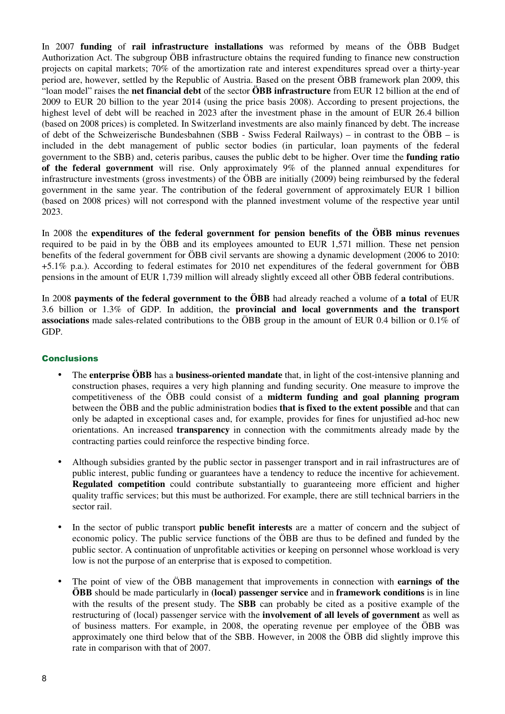In 2007 **funding** of **rail infrastructure installations** was reformed by means of the ÖBB Budget Authorization Act. The subgroup ÖBB infrastructure obtains the required funding to finance new construction projects on capital markets; 70% of the amortization rate and interest expenditures spread over a thirty-year period are, however, settled by the Republic of Austria. Based on the present ÖBB framework plan 2009, this "loan model" raises the **net financial debt** of the sector **ÖBB infrastructure** from EUR 12 billion at the end of 2009 to EUR 20 billion to the year 2014 (using the price basis 2008). According to present projections, the highest level of debt will be reached in 2023 after the investment phase in the amount of EUR 26.4 billion (based on 2008 prices) is completed. In Switzerland investments are also mainly financed by debt. The increase of debt of the Schweizerische Bundesbahnen (SBB - Swiss Federal Railways) – in contrast to the ÖBB – is included in the debt management of public sector bodies (in particular, loan payments of the federal government to the SBB) and, ceteris paribus, causes the public debt to be higher. Over time the **funding ratio of the federal government** will rise. Only approximately 9% of the planned annual expenditures for infrastructure investments (gross investments) of the ÖBB are initially (2009) being reimbursed by the federal government in the same year. The contribution of the federal government of approximately EUR 1 billion (based on 2008 prices) will not correspond with the planned investment volume of the respective year until 2023.

In 2008 the **expenditures of the federal government for pension benefits of the ÖBB minus revenues** required to be paid in by the ÖBB and its employees amounted to EUR 1,571 million. These net pension benefits of the federal government for ÖBB civil servants are showing a dynamic development (2006 to 2010: +5.1% p.a.). According to federal estimates for 2010 net expenditures of the federal government for ÖBB pensions in the amount of EUR 1,739 million will already slightly exceed all other ÖBB federal contributions.

In 2008 **payments of the federal government to the ÖBB** had already reached a volume of **a total** of EUR 3.6 billion or 1.3% of GDP. In addition, the **provincial and local governments and the transport associations** made sales-related contributions to the ÖBB group in the amount of EUR 0.4 billion or 0.1% of GDP.

#### **Conclusions**

- The **enterprise ÖBB** has a **business-oriented mandate** that, in light of the cost-intensive planning and construction phases, requires a very high planning and funding security. One measure to improve the competitiveness of the ÖBB could consist of a **midterm funding and goal planning program**  between the ÖBB and the public administration bodies **that is fixed to the extent possible** and that can only be adapted in exceptional cases and, for example, provides for fines for unjustified ad-hoc new orientations. An increased **transparency** in connection with the commitments already made by the contracting parties could reinforce the respective binding force.
- Although subsidies granted by the public sector in passenger transport and in rail infrastructures are of public interest, public funding or guarantees have a tendency to reduce the incentive for achievement. **Regulated competition** could contribute substantially to guaranteeing more efficient and higher quality traffic services; but this must be authorized. For example, there are still technical barriers in the sector rail.
- In the sector of public transport **public benefit interests** are a matter of concern and the subject of economic policy. The public service functions of the ÖBB are thus to be defined and funded by the public sector. A continuation of unprofitable activities or keeping on personnel whose workload is very low is not the purpose of an enterprise that is exposed to competition.
- The point of view of the ÖBB management that improvements in connection with **earnings of the ÖBB** should be made particularly in **(local) passenger service** and in **framework conditions** is in line with the results of the present study. The **SBB** can probably be cited as a positive example of the restructuring of (local) passenger service with the **involvement of all levels of government** as well as of business matters. For example, in 2008, the operating revenue per employee of the ÖBB was approximately one third below that of the SBB. However, in 2008 the ÖBB did slightly improve this rate in comparison with that of 2007.